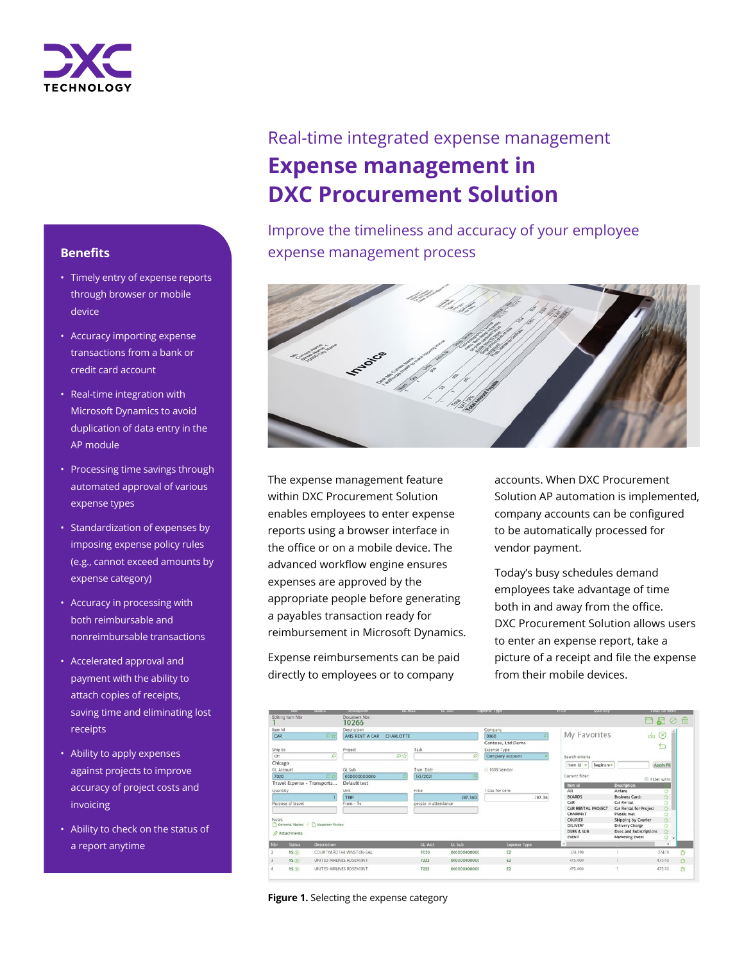

## **Benefits**

- Timely entry of expense reports through browser or mobile device
- Accuracy importing expense transactions from a bank or credit card account
- Real-time integration with Microsoft Dynamics to avoid duplication of data entry in the AP module
- Processing time savings through automated approval of various expense types
- Standardization of expenses by imposing expense policy rules (e.g., cannot exceed amounts by expense category)
- Accuracy in processing with both reimbursable and nonreimbursable transactions
- Accelerated approval and payment with the ability to attach copies of receipts, saving time and eliminating lost receipts
- Ability to apply expenses against projects to improve accuracy of project costs and invoicing
- Ability to check on the status of a report anytime

# Real-time integrated expense management **Expense management in DXC Procurement Solution**

Improve the timeliness and accuracy of your employee expense management process



The expense management feature within DXC Procurement Solution enables employees to enter expense reports using a browser interface in the office or on a mobile device. The advanced workflow engine ensures expenses are approved by the appropriate people before generating a payables transaction ready for reimbursement in Microsoft Dynamics.

Expense reimbursements can be paid directly to employees or to company

accounts. When DXC Procurement Solution AP automation is implemented, company accounts can be configured to be automatically processed for vendor payment.

Today's busy schedules demand employees take advantage of time both in and away from the office. DXC Procurement Solution allows users to enter an expense report, take a picture of a receipt and file the expense from their mobile devices.

|                                         | <b>NUMBER</b>            | <b><i><u>PARK AREA AND</u></i></b> | <b>STATISTICS</b> |                      | <b><i>SHEERING</i></b> | exhaustical called  | <b><i>APRAISED</i></b><br>Acusticity |                        | <b>EUGAL INE WAY</b> |    |  |
|-----------------------------------------|--------------------------|------------------------------------|-------------------|----------------------|------------------------|---------------------|--------------------------------------|------------------------|----------------------|----|--|
| <b>Editing Item Nbr</b>                 |                          | Document Nor:<br>10266             |                   |                      |                        |                     |                                      |                        | 日日の日                 |    |  |
| Item Id                                 |                          | Description                        |                   |                      |                        | Company             |                                      |                        |                      |    |  |
| CAR                                     | ○☆                       | AVIS RENT A CAR                    | <b>CHARLOTTE</b>  |                      |                        | 0060                | My Favorites                         | رىلى                   | $\circ$              |    |  |
|                                         |                          |                                    |                   |                      |                        | Contoso, Ltd:Demo   |                                      |                        |                      |    |  |
| Ship to                                 |                          | Project                            |                   | Task                 |                        | Expense Type        |                                      |                        | e                    |    |  |
| CH                                      | ø                        |                                    | ◎☆                |                      | O)                     | Company account     | Search criteria                      |                        |                      |    |  |
| Chicago                                 |                          |                                    |                   |                      |                        |                     | Item Id -<br>Begins w-               |                        | Apply Fill           |    |  |
| <b>GL</b> Account                       |                          | GL Sub                             |                   | Tran, Date           |                        | 1099 Vendor         |                                      |                        |                      |    |  |
| 7020                                    | OØ                       | 00000000000                        |                   | 1/2/2021             |                        |                     | Current filter:                      |                        |                      |    |  |
| Travel Expense - Transporta             |                          | Default test                       |                   |                      |                        |                     | <b>Rem ld</b>                        | Description            | Filter withi         |    |  |
| Quantity                                |                          | Unit                               |                   | Price                |                        | Total for item      | <b>AIR</b>                           | Airfare                | ŵ                    |    |  |
|                                         |                          | TRIP                               |                   |                      | 287.360                | 287.35              | <b>BCARDS</b>                        | <b>Business Cards</b>  | ☆                    |    |  |
| Purpose of travel                       |                          | From - To                          |                   | people in attendance |                        |                     | CAR                                  | Car Rental             | ů                    |    |  |
|                                         |                          |                                    |                   |                      |                        |                     | CAR RENTAL PROJECT                   | Car Rental for Project | $\alpha$             |    |  |
|                                         |                          |                                    |                   |                      |                        |                     | CHAIRMAT                             | Plastic mat            | Ů                    |    |  |
| Notes.<br>General Notes / Voucher Notes |                          |                                    |                   |                      |                        |                     | <b>COURIER</b>                       | Shipping by Courier    | 壺                    |    |  |
|                                         |                          |                                    |                   |                      |                        |                     | DELIVERY                             | Delivery Charge        | ŵ                    |    |  |
| <b>O</b> Attachments                    |                          |                                    |                   |                      |                        |                     | DUES & SUB                           | Dues and Subscriptions | ä                    |    |  |
|                                         |                          |                                    |                   |                      |                        |                     | <b>EVENT</b>                         | <b>Marketing Event</b> | 食<br>$\rightarrow$   |    |  |
| Nor.<br><b>Status</b>                   | <b>Description</b>       |                                    |                   | GL Acct              | GL Sub                 | <b>Expense Type</b> |                                      |                        | ×                    |    |  |
| NS(3)                                   |                          | COURTYARD 1X4 WINSTON-SAL          |                   | 7030                 | 000000000000           | E2                  | 374.190                              |                        | 374.19               | G  |  |
| NS(ii)                                  |                          | UNITED AIRLINES ROSEMONT           |                   | 7222                 | 000000000000           | E2                  | 475,400                              |                        | 475.60               | n. |  |
| NS(0)                                   | UNITED AIRLINES ROSEMONT |                                    |                   | 7222                 | 00000000000            | E2                  | 475,400                              |                        | 475.40               | Ġ  |  |

**Figure 1.** Selecting the expense category